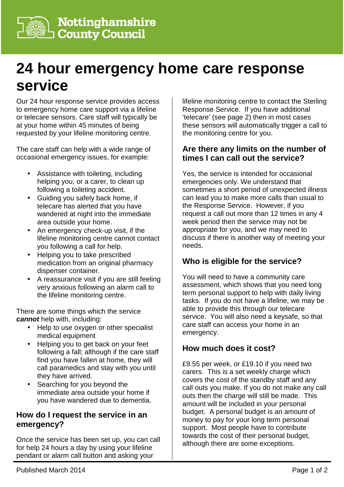# **24 hour emergency home care response service**

Our 24 hour response service provides access to emergency home care support via a lifeline or telecare sensors. Care staff will typically be at your home within 45 minutes of being requested by your lifeline monitoring centre.

The care staff can help with a wide range of occasional emergency issues, for example:

- Assistance with toileting, including helping you, or a carer, to clean up following a toileting accident.
- Guiding you safely back home, if telecare has alerted that you have wandered at night into the immediate area outside your home.
- An emergency check-up visit, if the lifeline monitoring centre cannot contact you following a call for help.
- Helping you to take prescribed medication from an original pharmacy dispenser container.
- A reassurance visit if you are still feeling very anxious following an alarm call to the lifeline monitoring centre.

There are some things which the service **cannot** help with, including:

- Help to use oxygen or other specialist medical equipment
- Helping you to get back on your feet following a fall; although if the care staff find you have fallen at home, they will call paramedics and stay with you until they have arrived.
- Searching for you beyond the immediate area outside your home if you have wandered due to dementia.

## **How do I request the service in an emergency?**

Once the service has been set up, you can call for help 24 hours a day by using your lifeline pendant or alarm call button and asking your

lifeline monitoring centre to contact the Sterling Response Service. If you have additional 'telecare' (see page 2) then in most cases these sensors will automatically trigger a call to the monitoring centre for you.

### **Are there any limits on the number of times I can call out the service?**

Yes, the service is intended for occasional emergencies only. We understand that sometimes a short period of unexpected illness can lead you to make more calls than usual to the Response Service. However, if you request a call out more than 12 times in any 4 week period then the service may not be appropriate for you, and we may need to discuss if there is another way of meeting your needs.

# **Who is eligible for the service?**

You will need to have a community care assessment, which shows that you need long term personal support to help with daily living tasks. If you do not have a lifeline, we may be able to provide this through our telecare service. You will also need a keysafe, so that care staff can access your home in an emergency.

## **How much does it cost?**

£9.55 per week, or £19.10 if you need two carers. This is a set weekly charge which covers the cost of the standby staff and any call outs you make. If you do not make any call outs then the charge will still be made. This amount will be included in your personal budget. A personal budget is an amount of money to pay for your long term personal support. Most people have to contribute towards the cost of their personal budget, although there are some exceptions.